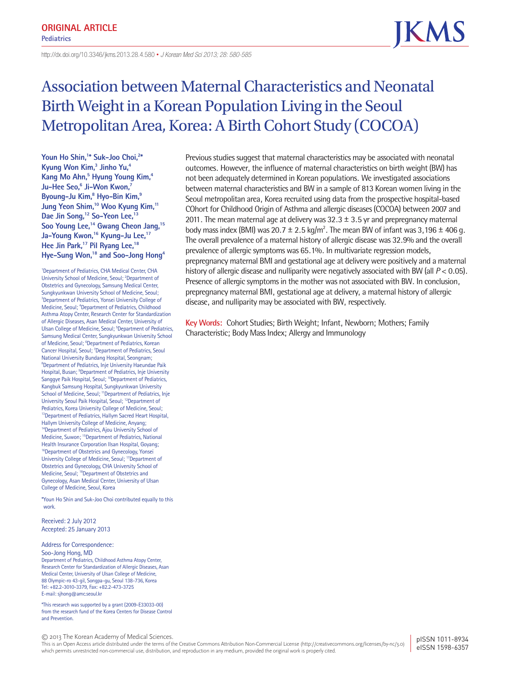Tel: +82.2-3010-3379, Fax: +82.2-473-3725 E-mail: sjhong@amc.seoul.kr

\*This research was supported by a grant (2009-E33033-00) from the research fund of the Korea Centers for Disease Control and Prevention.

Department of Pediatrics, Childhood Asthma Atopy Center, Research Center for Standardization of Allergic Diseases, Asan Medical Center, University of Ulsan College of Medicine,

© 2013 The Korean Academy of Medical Sciences.

**ORIGINAL ARTICLE Pediatrics**

http://dx.doi.org/10.3346/ jkms.2013.28.4.580 • *J Korean Med Sci 2013; 28: 580-585*

# Association between Maternal Characteristics and Neonatal Birth Weight in a Korean Population Living in the Seoul Metropolitan Area, Korea: A Birth Cohort Study (COCOA)

**Youn Ho Shin,1 \* Suk-Joo Choi,2 \* Kyung Won Kim,3 Jinho Yu,4 Kang Mo Ahn,5 Hyung Young Kim,4 Ju-Hee Seo,6 Ji-Won Kwon,7 Byoung-Ju Kim,8 Hyo-Bin Kim,9** Jung Yeon Shim,<sup>10</sup> Woo Kyung Kim,<sup>11</sup> Dae Jin Song,<sup>12</sup> So-Yeon Lee.<sup>13</sup> Soo Young Lee,<sup>14</sup> Gwang Cheon Jang,<sup>15</sup> Ja-Young Kwon,<sup>16</sup> Kyung-Ju Lee,<sup>17</sup> Hee Jin Park,<sup>17</sup> Pil Ryang Lee,<sup>18</sup> Hye-Sung Won,<sup>18</sup> and Soo-Jong Hong<sup>4</sup>

1 Department of Pediatrics, CHA Medical Center, CHA University School of Medicine, Seoul; <sup>2</sup>Department of <sup>3</sup>Department of Pediatrics, Yonsei University College of Medicine, Seoul; <sup>4</sup>Department of Pediatrics, Childhood Asthma Atopy Center, Research Center for Standardization of Allergic Diseases, Asan Medical Center, University of Ulsan College of Medicine, Seoul; <sup>5</sup>Department of Pediatrics, Samsung Medical Center, Sungkyunkwan University School of Medicine, Seoul; <sup>6</sup>Department of Pediatrics, Korean Cancer Hospital, Seoul; <sup>7</sup>Department of Pediatrics, Seoul National University Bundang Hospital, Seongnam; <sup>8</sup>Department of Pediatrics, Inje University Haeundae Paik Hospital, Busan; <sup>9</sup>Department of Pediatrics, Inje University Sanggye Paik Hospital, Seoul; <sup>10</sup>Department of Pediatrics, Kangbuk Samsung Hospital, Sungkyunkwan University School of Medicine, Seoul; <sup>11</sup>Department of Pediatrics, Inje University Seoul Paik Hospital, Seoul; 12Department of Pediatrics, Korea University College of Medicine, Seoul; 13Department of Pediatrics, Hallym Sacred Heart Hospital, Hallym University College of Medicine, Anyang; 14Department of Pediatrics, Ajou University School of Medicine, Suwon; <sup>15</sup>Department of Pediatrics, National Health Insurance Corporation Ilsan Hospital, Goyang; <sup>16</sup>Department of Obstetrics and Gynecology, Yonsei University College of Medicine, Seoul; 17Department of Obstetrics and Gynecology, CHA University School of Medicine, Seoul; <sup>18</sup>Department of Obstetrics and Gynecology, Asan Medical Center, University of Ulsan College of Medicine, Seoul, Korea

\*Youn Ho Shin and Suk-Joo Choi contributed equally to this work.

Received: 2 July 2012 Accepted: 25 January 2013

Address for Correspondence: Soo-Jong Hong, MD

Obstetrics and Gynecology, Samsung Medical Center, Sungkyunkwan University School of Medicine, Seoul;

Previous studies suggest that maternal characteristics may be associated with neonatal outcomes. However, the influence of maternal characteristics on birth weight (BW) has not been adequately determined in Korean populations. We investigated associations between maternal characteristics and BW in a sample of 813 Korean women living in the Seoul metropolitan area, Korea recruited using data from the prospective hospital-based COhort for Childhood Origin of Asthma and allergic diseases (COCOA) between 2007 and 2011. The mean maternal age at delivery was  $32.3 \pm 3.5$  yr and prepregnancy maternal body mass index (BMI) was 20.7  $\pm$  2.5 kg/m<sup>2</sup>. The mean BW of infant was 3,196  $\pm$  406 g. The overall prevalence of a maternal history of allergic disease was 32.9% and the overall prevalence of allergic symptoms was 65.1%. In multivariate regression models, prepregnancy maternal BMI and gestational age at delivery were positively and a maternal history of allergic disease and nulliparity were negatively associated with BW (all *P* < 0.05). Presence of allergic symptoms in the mother was not associated with BW. In conclusion, prepregnancy maternal BMI, gestational age at delivery, a maternal history of allergic disease, and nulliparity may be associated with BW, respectively.

**Key Words:** Cohort Studies; Birth Weight; Infant, Newborn; Mothers; Family Characteristic; Body Mass Index; Allergy and Immunology

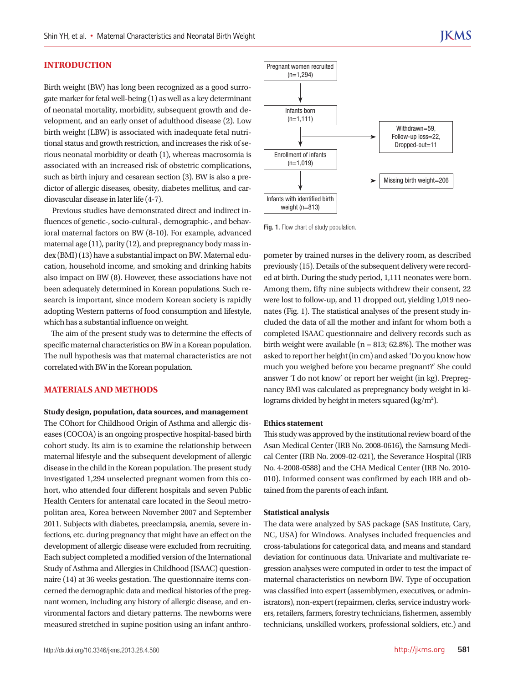# **INTRODUCTION**

Birth weight (BW) has long been recognized as a good surrogate marker for fetal well-being (1) as well as a key determinant of neonatal mortality, morbidity, subsequent growth and development, and an early onset of adulthood disease (2). Low birth weight (LBW) is associated with inadequate fetal nutritional status and growth restriction, and increases the risk of serious neonatal morbidity or death (1), whereas macrosomia is associated with an increased risk of obstetric complications, such as birth injury and cesarean section (3). BW is also a predictor of allergic diseases, obesity, diabetes mellitus, and cardiovascular disease in later life (4-7).

Previous studies have demonstrated direct and indirect influences of genetic-, socio-cultural-, demographic-, and behavioral maternal factors on BW (8-10). For example, advanced maternal age (11), parity (12), and prepregnancy body mass index (BMI) (13) have a substantial impact on BW. Maternal education, household income, and smoking and drinking habits also impact on BW (8). However, these associations have not been adequately determined in Korean populations. Such research is important, since modern Korean society is rapidly adopting Western patterns of food consumption and lifestyle, which has a substantial influence on weight.

The aim of the present study was to determine the effects of specific maternal characteristics on BW in a Korean population. The null hypothesis was that maternal characteristics are not correlated with BW in the Korean population.

# **MATERIALS AND METHODS**

**Study design, population, data sources, and management** The COhort for Childhood Origin of Asthma and allergic diseases (COCOA) is an ongoing prospective hospital-based birth cohort study. Its aim is to examine the relationship between maternal lifestyle and the subsequent development of allergic disease in the child in the Korean population. The present study investigated 1,294 unselected pregnant women from this cohort, who attended four different hospitals and seven Public Health Centers for antenatal care located in the Seoul metropolitan area, Korea between November 2007 and September 2011. Subjects with diabetes, preeclampsia, anemia, severe infections, etc. during pregnancy that might have an effect on the development of allergic disease were excluded from recruiting. Each subject completed a modified version of the International Study of Asthma and Allergies in Childhood (ISAAC) questionnaire (14) at 36 weeks gestation. The questionnaire items concerned the demographic data and medical histories of the pregnant women, including any history of allergic disease, and environmental factors and dietary patterns. The newborns were measured stretched in supine position using an infant anthro-



Fig. 1. Flow chart of study population.

pometer by trained nurses in the delivery room, as described previously (15). Details of the subsequent delivery were recorded at birth. During the study period, 1,111 neonates were born. Among them, fifty nine subjects withdrew their consent, 22 were lost to follow-up, and 11 dropped out, yielding 1,019 neonates (Fig. 1). The statistical analyses of the present study included the data of all the mother and infant for whom both a completed ISAAC questionnaire and delivery records such as birth weight were available ( $n = 813$ ; 62.8%). The mother was asked to report her height (in cm) and asked 'Do you know how much you weighed before you became pregnant?' She could answer 'I do not know' or report her weight (in kg). Prepregnancy BMI was calculated as prepregnancy body weight in kilograms divided by height in meters squared ( $\text{kg/m}^2$ ).

#### **Ethics statement**

This study was approved by the institutional review board of the Asan Medical Center (IRB No. 2008-0616), the Samsung Medical Center (IRB No. 2009-02-021), the Severance Hospital (IRB No. 4-2008-0588) and the CHA Medical Center (IRB No. 2010- 010). Informed consent was confirmed by each IRB and obtained from the parents of each infant.

# **Statistical analysis**

The data were analyzed by SAS package (SAS Institute, Cary, NC, USA) for Windows. Analyses included frequencies and cross-tabulations for categorical data, and means and standard deviation for continuous data. Univariate and multivariate regression analyses were computed in order to test the impact of maternal characteristics on newborn BW. Type of occupation was classified into expert (assemblymen, executives, or administrators), non-expert (repairmen, clerks, service industry workers, retailers, farmers, forestry technicians, fishermen, assembly technicians, unskilled workers, professional soldiers, etc.) and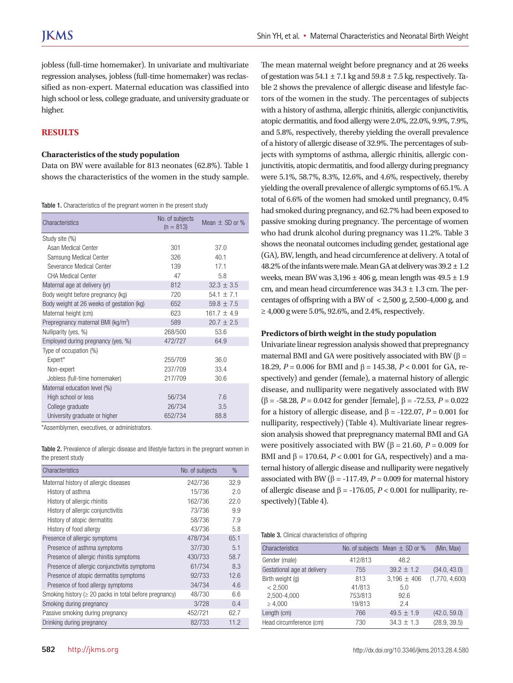jobless (full-time homemaker). In univariate and multivariate regression analyses, jobless (full-time homemaker) was reclassified as non-expert. Maternal education was classified into high school or less, college graduate, and university graduate or higher.

# **RESULTS**

# **Characteristics of the study population**

Data on BW were available for 813 neonates (62.8%). Table 1 shows the characteristics of the women in the study sample.

|  |  |  | Table 1. Characteristics of the pregnant women in the present study |
|--|--|--|---------------------------------------------------------------------|
|--|--|--|---------------------------------------------------------------------|

| Characteristics                                | No. of subjects<br>$(n = 813)$ | Mean $\pm$ SD or % |
|------------------------------------------------|--------------------------------|--------------------|
| Study site (%)                                 |                                |                    |
| Asan Medical Center                            | 301                            | 37.0               |
| Samsung Medical Center                         | 326                            | 40.1               |
| Severance Medical Center                       | 139                            | 17.1               |
| <b>CHA Medical Center</b>                      | 47                             | 5.8                |
| Maternal age at delivery (yr)                  | 812                            | $32.3 \pm 3.5$     |
| Body weight before pregnancy (kg)              | 720                            | $54.1 \pm 7.1$     |
| Body weight at 26 weeks of gestation (kg)      | 652                            | $59.8 \pm 7.5$     |
| Maternal height (cm)                           | 623                            | $161.7 \pm 4.9$    |
| Prepregnancy maternal BMI (kg/m <sup>2</sup> ) | 589                            | $20.7 \pm 2.5$     |
| Nulliparity (yes, %)                           | 268/500                        | 53.6               |
| Employed during pregnancy (yes, %)             | 472/727                        | 64.9               |
| Type of occupation (%)                         |                                |                    |
| Expert*                                        | 255/709                        | 36.0               |
| Non-expert                                     | 237/709                        | 33.4               |
| Jobless (full-time homemaker)                  | 217/709                        | 30.6               |
| Maternal education level (%)                   |                                |                    |
| High school or less                            | 56/734                         | 7.6                |
| College graduate                               | 26/734                         | 3.5                |
| University graduate or higher                  | 652/734                        | 88.8               |

\*Assemblymen, executives, or administrators.

Table 2. Prevalence of allergic disease and lifestyle factors in the pregnant women in the present study

| Characteristics                                              | No. of subjects | $\%$ |
|--------------------------------------------------------------|-----------------|------|
| Maternal history of allergic diseases                        | 242/736         | 32.9 |
| History of asthma                                            | 15/736          | 2.0  |
| History of allergic rhinitis                                 | 162/736         | 22.0 |
| History of allergic conjunctivitis                           | 73/736          | 9.9  |
| History of atopic dermatitis                                 | 58/736          | 7.9  |
| History of food allergy                                      | 43/736          | 5.8  |
| Presence of allergic symptoms                                | 478/734         | 65.1 |
| Presence of asthma symptoms                                  | 37/730          | 5.1  |
| Presence of allergic rhinitis symptoms                       | 430/733         | 58.7 |
| Presence of allergic conjunctivitis symptoms                 | 61/734          | 8.3  |
| Presence of atopic dermatitis symptoms                       | 92/733          | 12.6 |
| Presence of food allergy symptoms                            | 34/734          | 4.6  |
| Smoking history ( $\geq 20$ packs in total before pregnancy) | 48/730          | 6.6  |
| Smoking during pregnancy                                     | 3/728           | 0.4  |
| Passive smoking during pregnancy                             | 452/721         | 62.7 |
| Drinking during pregnancy                                    | 82/733          | 11.2 |

The mean maternal weight before pregnancy and at 26 weeks of gestation was  $54.1 \pm 7.1$  kg and  $59.8 \pm 7.5$  kg, respectively. Table 2 shows the prevalence of allergic disease and lifestyle factors of the women in the study. The percentages of subjects with a history of asthma, allergic rhinitis, allergic conjunctivitis, atopic dermatitis, and food allergy were 2.0%, 22.0%, 9.9%, 7.9%, and 5.8%, respectively, thereby yielding the overall prevalence of a history of allergic disease of 32.9%. The percentages of subjects with symptoms of asthma, allergic rhinitis, allergic conjunctivitis, atopic dermatitis, and food allergy during pregnancy were 5.1%, 58.7%, 8.3%, 12.6%, and 4.6%, respectively, thereby yielding the overall prevalence of allergic symptoms of 65.1%. A total of 6.6% of the women had smoked until pregnancy, 0.4% had smoked during pregnancy, and 62.7% had been exposed to passive smoking during pregnancy. The percentage of women who had drunk alcohol during pregnancy was 11.2%. Table 3 shows the neonatal outcomes including gender, gestational age (GA), BW, length, and head circumference at delivery. A total of 48.2% of the infants were male. Mean GA at delivery was  $39.2 \pm 1.2$ weeks, mean BW was  $3,196 \pm 406$  g, mean length was  $49.5 \pm 1.9$ cm, and mean head circumference was  $34.3 \pm 1.3$  cm. The percentages of offspring with a BW of  $\langle 2,500 \text{ g}, 2,500-4,000 \text{ g}, \text{ and} \rangle$  $\geq 4,000$  g were 5.0%, 92.6%, and 2.4%, respectively.

# **Predictors of birth weight in the study population**

Univariate linear regression analysis showed that prepregnancy maternal BMI and GA were positively associated with BW ( $β =$ 18.29, *P* = 0.006 for BMI and β = 145.38, *P* < 0.001 for GA, respectively) and gender (female), a maternal history of allergic disease, and nulliparity were negatively associated with BW (β = -58.28, *P* = 0.042 for gender [female], β = -72.53, *P* = 0.022 for a history of allergic disease, and  $\beta$  = -122.07, *P* = 0.001 for nulliparity, respectively) (Table 4). Multivariate linear regression analysis showed that prepregnancy maternal BMI and GA were positively associated with BW ( $\beta$  = 21.60, *P* = 0.009 for BMI and  $β = 170.64$ ,  $P < 0.001$  for GA, respectively) and a maternal history of allergic disease and nulliparity were negatively associated with BW ( $β = -117.49$ ,  $P = 0.009$  for maternal history of allergic disease and β = -176.05, *P* < 0.001 for nulliparity, respectively) (Table 4).

Table 3. Clinical characteristics of offspring

| Characteristics             |         | No. of subjects Mean $\pm$ SD or % | (Min, Max)     |
|-----------------------------|---------|------------------------------------|----------------|
| Gender (male)               | 412/813 | 48.2                               |                |
| Gestational age at delivery | 755     | $39.2 \pm 1.2$                     | (34.0, 43.0)   |
| Birth weight (g)            | 813     | $3,196 \pm 406$                    | (1,770, 4,600) |
| < 2,500                     | 41/813  | 5.0                                |                |
| 2,500-4,000                 | 753/813 | 92.6                               |                |
| $\geq 4,000$                | 19/813  | 2.4                                |                |
| Length (cm)                 | 766     | 49.5 $\pm$ 1.9                     | (42.0, 59.0)   |
| Head circumference (cm)     | 730     | $34.3 \pm 1.3$                     | (28.9, 39.5)   |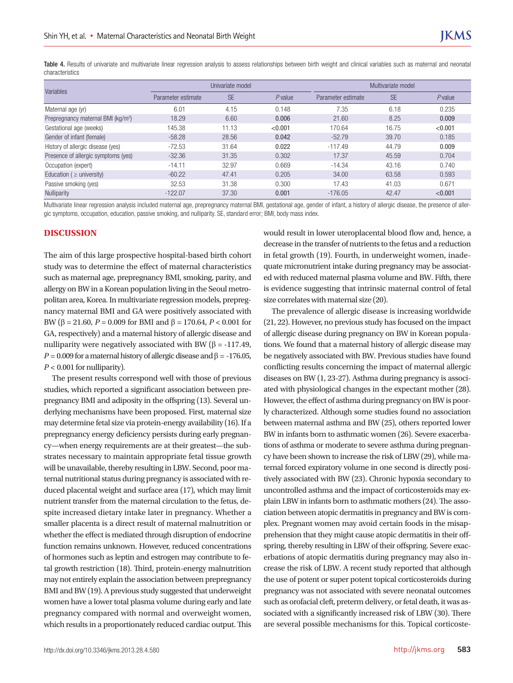Table 4. Results of univariate and multivariate linear regression analysis to assess relationships between birth weight and clinical variables such as maternal and neonatal characteristics

| Variables                                      |                    | Univariate model |           |                    | Multivariate model |           |
|------------------------------------------------|--------------------|------------------|-----------|--------------------|--------------------|-----------|
|                                                | Parameter estimate | <b>SE</b>        | $P$ value | Parameter estimate | <b>SE</b>          | $P$ value |
| Maternal age (yr)                              | 6.01               | 4.15             | 0.148     | 7.35               | 6.18               | 0.235     |
| Prepregnancy maternal BMI (kg/m <sup>2</sup> ) | 18.29              | 6.60             | 0.006     | 21.60              | 8.25               | 0.009     |
| Gestational age (weeks)                        | 145.38             | 11.13            | < 0.001   | 170.64             | 16.75              | < 0.001   |
| Gender of infant (female)                      | $-58.28$           | 28.56            | 0.042     | $-52.79$           | 39.70              | 0.185     |
| History of allergic disease (yes)              | $-72.53$           | 31.64            | 0.022     | $-117.49$          | 44.79              | 0.009     |
| Presence of allergic symptoms (yes)            | $-32.36$           | 31.35            | 0.302     | 17.37              | 45.59              | 0.704     |
| Occupation (expert)                            | $-14.11$           | 32.97            | 0.669     | $-14.34$           | 43.16              | 0.740     |
| Education ( $\geq$ university)                 | $-60.22$           | 47.41            | 0.205     | 34.00              | 63.58              | 0.593     |
| Passive smoking (yes)                          | 32.53              | 31.38            | 0.300     | 17.43              | 41.03              | 0.671     |
| Nulliparity                                    | $-122.07$          | 37.30            | 0.001     | $-176.05$          | 42.47              | < 0.001   |

Multivariate linear regression analysis included maternal age, prepregnancy maternal BMI, gestational age, gender of infant, a history of allergic disease, the presence of allergic symptoms, occupation, education, passive smoking, and nulliparity. SE, standard error; BMI, body mass index.

# **DISCUSSION**

The aim of this large prospective hospital-based birth cohort study was to determine the effect of maternal characteristics such as maternal age, prepregnancy BMI, smoking, parity, and allergy on BW in a Korean population living in the Seoul metropolitan area, Korea. In multivariate regression models, prepregnancy maternal BMI and GA were positively associated with BW (β = 21.60, *P* = 0.009 for BMI and β = 170.64, *P* < 0.001 for GA, respectively) and a maternal history of allergic disease and nulliparity were negatively associated with BW ( $\beta$  = -117.49,  $P = 0.009$  for a maternal history of allergic disease and  $\beta = -176.05$ , *P* < 0.001 for nulliparity).

The present results correspond well with those of previous studies, which reported a significant association between prepregnancy BMI and adiposity in the offspring (13). Several underlying mechanisms have been proposed. First, maternal size may determine fetal size via protein-energy availability (16). If a prepregnancy energy deficiency persists during early pregnancy—when energy requirements are at their greatest—the substrates necessary to maintain appropriate fetal tissue growth will be unavailable, thereby resulting in LBW. Second, poor maternal nutritional status during pregnancy is associated with reduced placental weight and surface area (17), which may limit nutrient transfer from the maternal circulation to the fetus, despite increased dietary intake later in pregnancy. Whether a smaller placenta is a direct result of maternal malnutrition or whether the effect is mediated through disruption of endocrine function remains unknown. However, reduced concentrations of hormones such as leptin and estrogen may contribute to fetal growth restriction (18). Third, protein-energy malnutrition may not entirely explain the association between prepregnancy BMI and BW (19). A previous study suggested that underweight women have a lower total plasma volume during early and late pregnancy compared with normal and overweight women, which results in a proportionately reduced cardiac output. This would result in lower uteroplacental blood flow and, hence, a decrease in the transfer of nutrients to the fetus and a reduction in fetal growth (19). Fourth, in underweight women, inadequate micronutrient intake during pregnancy may be associated with reduced maternal plasma volume and BW. Fifth, there is evidence suggesting that intrinsic maternal control of fetal size correlates with maternal size (20).

The prevalence of allergic disease is increasing worldwide (21, 22). However, no previous study has focused on the impact of allergic disease during pregnancy on BW in Korean populations. We found that a maternal history of allergic disease may be negatively associated with BW. Previous studies have found conflicting results concerning the impact of maternal allergic diseases on BW (1, 23-27). Asthma during pregnancy is associated with physiological changes in the expectant mother (28). However, the effect of asthma during pregnancy on BW is poorly characterized. Although some studies found no association between maternal asthma and BW (25), others reported lower BW in infants born to asthmatic women (26). Severe exacerbations of asthma or moderate to severe asthma during pregnancy have been shown to increase the risk of LBW (29), while maternal forced expiratory volume in one second is directly positively associated with BW (23). Chronic hypoxia secondary to uncontrolled asthma and the impact of corticosteroids may explain LBW in infants born to asthmatic mothers (24). The association between atopic dermatitis in pregnancy and BW is complex. Pregnant women may avoid certain foods in the misapprehension that they might cause atopic dermatitis in their offspring, thereby resulting in LBW of their offspring. Severe exacerbations of atopic dermatitis during pregnancy may also increase the risk of LBW. A recent study reported that although the use of potent or super potent topical corticosteroids during pregnancy was not associated with severe neonatal outcomes such as orofacial cleft, preterm delivery, or fetal death, it was associated with a significantly increased risk of LBW (30). There are several possible mechanisms for this. Topical corticoste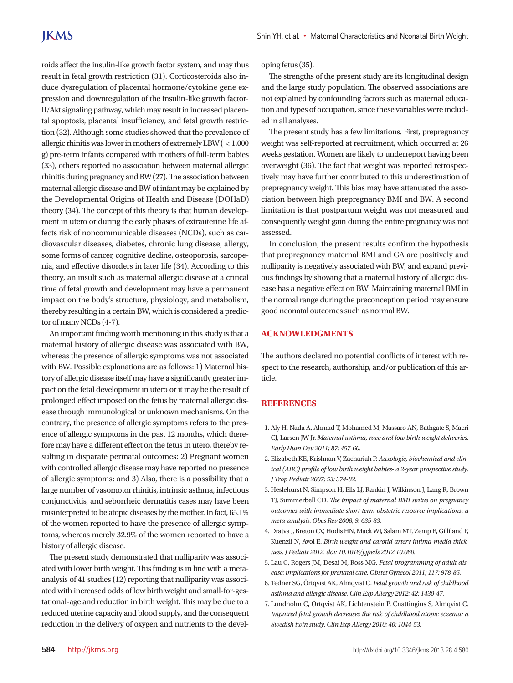roids affect the insulin-like growth factor system, and may thus result in fetal growth restriction (31). Corticosteroids also induce dysregulation of placental hormone/cytokine gene expression and downregulation of the insulin-like growth factor-II/Akt signaling pathway, which may result in increased placental apoptosis, placental insufficiency, and fetal growth restriction (32). Although some studies showed that the prevalence of allergic rhinitis was lower in mothers of extremely LBW ( < 1,000 g) pre-term infants compared with mothers of full-term babies (33), others reported no association between maternal allergic rhinitis during pregnancy and BW (27). The association between maternal allergic disease and BW of infant may be explained by the Developmental Origins of Health and Disease (DOHaD) theory (34). The concept of this theory is that human development in utero or during the early phases of extrauterine life affects risk of noncommunicable diseases (NCDs), such as cardiovascular diseases, diabetes, chronic lung disease, allergy, some forms of cancer, cognitive decline, osteoporosis, sarcopenia, and effective disorders in later life (34). According to this theory, an insult such as maternal allergic disease at a critical time of fetal growth and development may have a permanent impact on the body's structure, physiology, and metabolism, thereby resulting in a certain BW, which is considered a predictor of many NCDs (4-7).

An important finding worth mentioning in this study is that a maternal history of allergic disease was associated with BW, whereas the presence of allergic symptoms was not associated with BW. Possible explanations are as follows: 1) Maternal history of allergic disease itself may have a significantly greater impact on the fetal development in utero or it may be the result of prolonged effect imposed on the fetus by maternal allergic disease through immunological or unknown mechanisms. On the contrary, the presence of allergic symptoms refers to the presence of allergic symptoms in the past 12 months, which therefore may have a different effect on the fetus in utero, thereby resulting in disparate perinatal outcomes: 2) Pregnant women with controlled allergic disease may have reported no presence of allergic symptoms: and 3) Also, there is a possibility that a large number of vasomotor rhinitis, intrinsic asthma, infectious conjunctivitis, and seborrheic dermatitis cases may have been misinterpreted to be atopic diseases by the mother. In fact, 65.1% of the women reported to have the presence of allergic symptoms, whereas merely 32.9% of the women reported to have a history of allergic disease.

The present study demonstrated that nulliparity was associated with lower birth weight. This finding is in line with a metaanalysis of 41 studies (12) reporting that nulliparity was associated with increased odds of low birth weight and small-for-gestational-age and reduction in birth weight. This may be due to a reduced uterine capacity and blood supply, and the consequent reduction in the delivery of oxygen and nutrients to the developing fetus (35).

The strengths of the present study are its longitudinal design and the large study population. The observed associations are not explained by confounding factors such as maternal education and types of occupation, since these variables were included in all analyses.

The present study has a few limitations. First, prepregnancy weight was self-reported at recruitment, which occurred at 26 weeks gestation. Women are likely to underreport having been overweight (36). The fact that weight was reported retrospectively may have further contributed to this underestimation of prepregnancy weight. This bias may have attenuated the association between high prepregnancy BMI and BW. A second limitation is that postpartum weight was not measured and consequently weight gain during the entire pregnancy was not assessed.

In conclusion, the present results confirm the hypothesis that prepregnancy maternal BMI and GA are positively and nulliparity is negatively associated with BW, and expand previous findings by showing that a maternal history of allergic disease has a negative effect on BW. Maintaining maternal BMI in the normal range during the preconception period may ensure good neonatal outcomes such as normal BW.

# **ACKNOWLEDGMENTS**

The authors declared no potential conflicts of interest with respect to the research, authorship, and/or publication of this article.

# **REFERENCES**

- 1. Aly H, Nada A, Ahmad T, Mohamed M, Massaro AN, Bathgate S, Macri CJ, Larsen JW Jr. *Maternal asthma, race and low birth weight deliveries. Early Hum Dev 2011; 87: 457-60.*
- 2. Elizabeth KE, Krishnan V, Zachariah P. *Auxologic, biochemical and clinical (ABC) profile of low birth weight babies- a 2-year prospective study. J Trop Pediatr 2007; 53: 374-82.*
- 3. Heslehurst N, Simpson H, Ells LJ, Rankin J, Wilkinson J, Lang R, Brown TJ, Summerbell CD. *The impact of maternal BMI status on pregnancy outcomes with immediate short-term obstetric resource implications: a meta-analysis. Obes Rev 2008; 9: 635-83.*
- 4. Dratva J, Breton CV, Hodis HN, Mack WJ, Salam MT, Zemp E, Gilliland F, Kuenzli N, Avol E. *Birth weight and carotid artery intima-media thickness. J Pediatr 2012. doi: 10.1016/j.jpeds.2012.10.060.*
- 5. Lau C, Rogers JM, Desai M, Ross MG. *Fetal programming of adult disease: implications for prenatal care. Obstet Gynecol 2011; 117: 978-85.*
- 6. Tedner SG, Örtqvist AK, Almqvist C. *Fetal growth and risk of childhood asthma and allergic disease. Clin Exp Allergy 2012; 42: 1430-47.*
- 7. Lundholm C, Ortqvist AK, Lichtenstein P, Cnattingius S, Almqvist C. *Impaired fetal growth decreases the risk of childhood atopic eczema: a Swedish twin study. Clin Exp Allergy 2010; 40: 1044-53.*